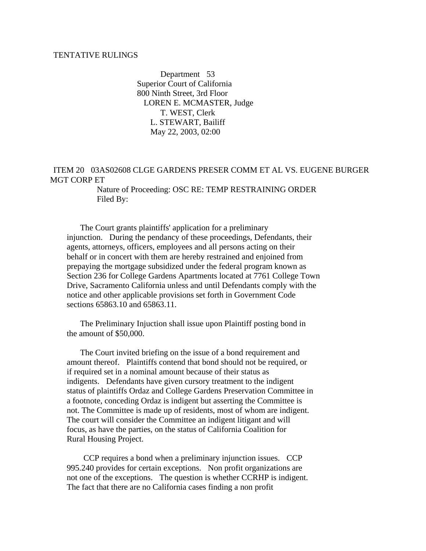## TENTATIVE RULINGS

 Department 53 Superior Court of California 800 Ninth Street, 3rd Floor LOREN E. MCMASTER, Judge T. WEST, Clerk L. STEWART, Bailiff May 22, 2003, 02:00

## ITEM 20 03AS02608 CLGE GARDENS PRESER COMM ET AL VS. EUGENE BURGER MGT CORP ET

 Nature of Proceeding: OSC RE: TEMP RESTRAINING ORDER Filed By:

 The Court grants plaintiffs' application for a preliminary injunction. During the pendancy of these proceedings, Defendants, their agents, attorneys, officers, employees and all persons acting on their behalf or in concert with them are hereby restrained and enjoined from prepaying the mortgage subsidized under the federal program known as Section 236 for College Gardens Apartments located at 7761 College Town Drive, Sacramento California unless and until Defendants comply with the notice and other applicable provisions set forth in Government Code sections 65863.10 and 65863.11.

 The Preliminary Injuction shall issue upon Plaintiff posting bond in the amount of \$50,000.

 The Court invited briefing on the issue of a bond requirement and amount thereof. Plaintiffs contend that bond should not be required, or if required set in a nominal amount because of their status as indigents. Defendants have given cursory treatment to the indigent status of plaintiffs Ordaz and College Gardens Preservation Committee in a footnote, conceding Ordaz is indigent but asserting the Committee is not. The Committee is made up of residents, most of whom are indigent. The court will consider the Committee an indigent litigant and will focus, as have the parties, on the status of California Coalition for Rural Housing Project.

 CCP requires a bond when a preliminary injunction issues. CCP 995.240 provides for certain exceptions. Non profit organizations are not one of the exceptions. The question is whether CCRHP is indigent. The fact that there are no California cases finding a non profit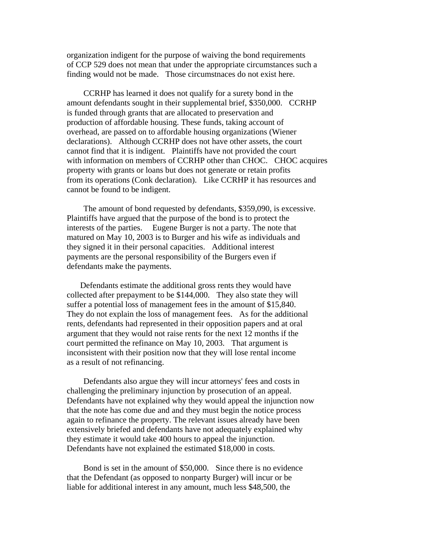organization indigent for the purpose of waiving the bond requirements of CCP 529 does not mean that under the appropriate circumstances such a finding would not be made. Those circumstnaces do not exist here.

 CCRHP has learned it does not qualify for a surety bond in the amount defendants sought in their supplemental brief, \$350,000. CCRHP is funded through grants that are allocated to preservation and production of affordable housing. These funds, taking account of overhead, are passed on to affordable housing organizations (Wiener declarations). Although CCRHP does not have other assets, the court cannot find that it is indigent. Plaintiffs have not provided the court with information on members of CCRHP other than CHOC. CHOC acquires property with grants or loans but does not generate or retain profits from its operations (Conk declaration). Like CCRHP it has resources and cannot be found to be indigent.

 The amount of bond requested by defendants, \$359,090, is excessive. Plaintiffs have argued that the purpose of the bond is to protect the interests of the parties. Eugene Burger is not a party. The note that matured on May 10, 2003 is to Burger and his wife as individuals and they signed it in their personal capacities. Additional interest payments are the personal responsibility of the Burgers even if defendants make the payments.

 Defendants estimate the additional gross rents they would have collected after prepayment to be \$144,000. They also state they will suffer a potential loss of management fees in the amount of \$15,840. They do not explain the loss of management fees. As for the additional rents, defendants had represented in their opposition papers and at oral argument that they would not raise rents for the next 12 months if the court permitted the refinance on May 10, 2003. That argument is inconsistent with their position now that they will lose rental income as a result of not refinancing.

 Defendants also argue they will incur attorneys' fees and costs in challenging the preliminary injunction by prosecution of an appeal. Defendants have not explained why they would appeal the injunction now that the note has come due and and they must begin the notice process again to refinance the property. The relevant issues already have been extensively briefed and defendants have not adequately explained why they estimate it would take 400 hours to appeal the injunction. Defendants have not explained the estimated \$18,000 in costs.

 Bond is set in the amount of \$50,000. Since there is no evidence that the Defendant (as opposed to nonparty Burger) will incur or be liable for additional interest in any amount, much less \$48,500, the